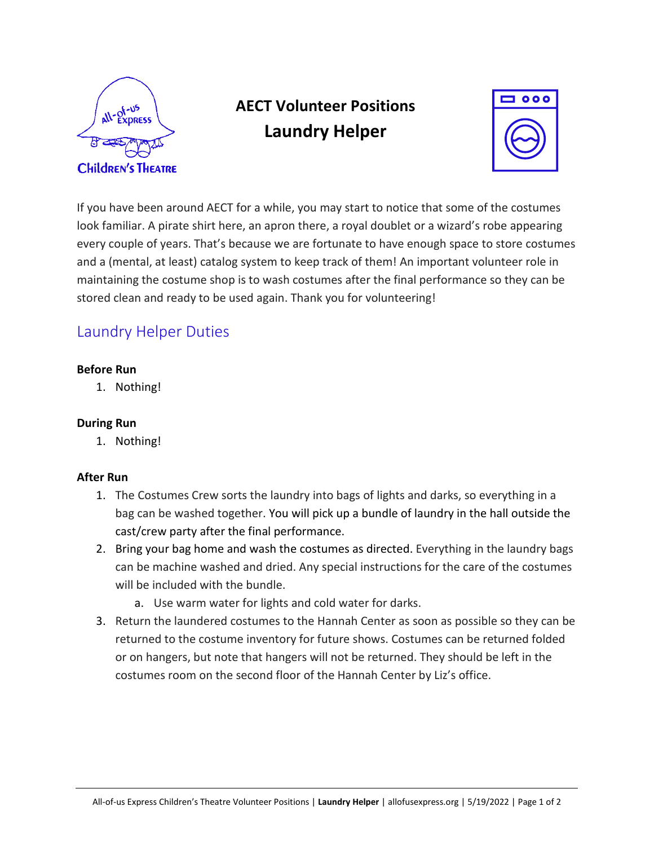

# **AECT Volunteer Positions Laundry Helper**



If you have been around AECT for a while, you may start to notice that some of the costumes look familiar. A pirate shirt here, an apron there, a royal doublet or a wizard's robe appearing every couple of years. That's because we are fortunate to have enough space to store costumes and a (mental, at least) catalog system to keep track of them! An important volunteer role in maintaining the costume shop is to wash costumes after the final performance so they can be stored clean and ready to be used again. Thank you for volunteering!

### Laundry Helper Duties

#### **Before Run**

1. Nothing!

#### **During Run**

1. Nothing!

#### **After Run**

- 1. The Costumes Crew sorts the laundry into bags of lights and darks, so everything in a bag can be washed together. You will pick up a bundle of laundry in the hall outside the cast/crew party after the final performance.
- 2. Bring your bag home and wash the costumes as directed. Everything in the laundry bags can be machine washed and dried. Any special instructions for the care of the costumes will be included with the bundle.
	- a. Use warm water for lights and cold water for darks.
- 3. Return the laundered costumes to the Hannah Center as soon as possible so they can be returned to the costume inventory for future shows. Costumes can be returned folded or on hangers, but note that hangers will not be returned. They should be left in the costumes room on the second floor of the Hannah Center by Liz's office.